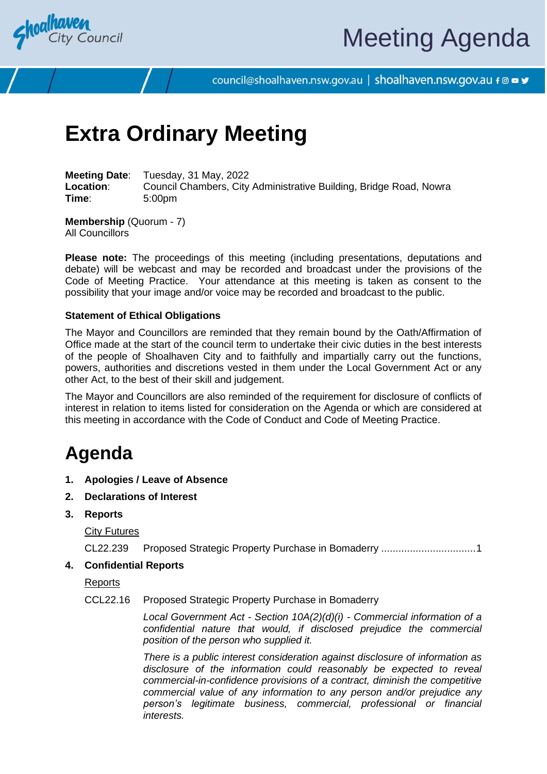

# Meeting Agenda

council@shoalhaven.nsw.gov.au | shoalhaven.nsw.gov.au f @ ■ y

## **Extra Ordinary Meeting**

**Meeting Date**: Tuesday, 31 May, 2022 **Location:** Council Chambers, City Administrative Building, Bridge Road, Nowra **Time**: 5:00pm

**Membership** (Quorum - 7) All Councillors

**Please note:** The proceedings of this meeting (including presentations, deputations and debate) will be webcast and may be recorded and broadcast under the provisions of the Code of Meeting Practice. Your attendance at this meeting is taken as consent to the possibility that your image and/or voice may be recorded and broadcast to the public.

### **Statement of Ethical Obligations**

The Mayor and Councillors are reminded that they remain bound by the Oath/Affirmation of Office made at the start of the council term to undertake their civic duties in the best interests of the people of Shoalhaven City and to faithfully and impartially carry out the functions, powers, authorities and discretions vested in them under the Local Government Act or any other Act, to the best of their skill and judgement.

The Mayor and Councillors are also reminded of the requirement for disclosure of conflicts of interest in relation to items listed for consideration on the Agenda or which are considered at this meeting in accordance with the Code of Conduct and Code of Meeting Practice.

## **Agenda**

- **1. Apologies / Leave of Absence**
- **2. Declarations of Interest**
- **3. Reports**

City Futures

CL22.239 Proposed Strategic Property Purchase in Bomaderry ................................[.1](#page-1-0)

**4. Confidential Reports**

Reports

CCL22.16 Proposed Strategic Property Purchase in Bomaderry

*Local Government Act - Section 10A(2)(d)(i) - Commercial information of a confidential nature that would, if disclosed prejudice the commercial position of the person who supplied it.*

*There is a public interest consideration against disclosure of information as disclosure of the information could reasonably be expected to reveal commercial-in-confidence provisions of a contract, diminish the competitive commercial value of any information to any person and/or prejudice any person's legitimate business, commercial, professional or financial interests.*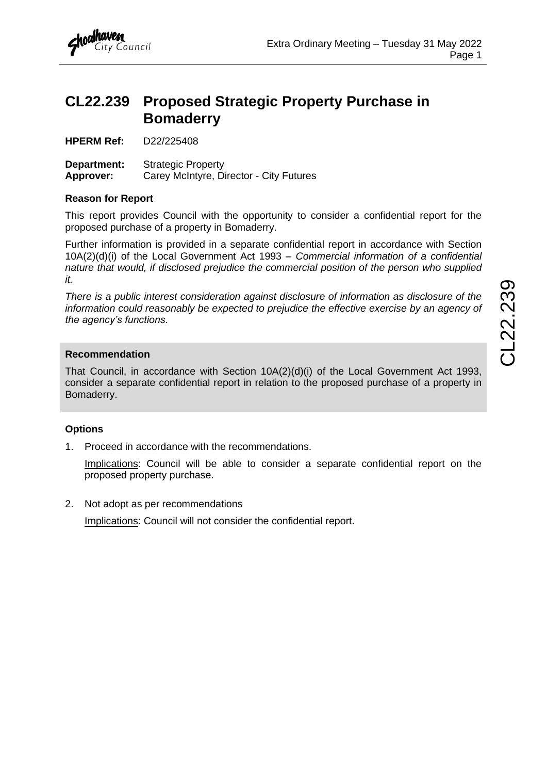

## <span id="page-1-0"></span>**CL22.239 Proposed Strategic Property Purchase in Bomaderry**

**HPERM Ref:** D22/225408

**Department:** Strategic Property **Approver:** Carey McIntyre, Director - City Futures

#### **Reason for Report**

This report provides Council with the opportunity to consider a confidential report for the proposed purchase of a property in Bomaderry.

Further information is provided in a separate confidential report in accordance with Section 10A(2)(d)(i) of the Local Government Act 1993 – *Commercial information of a confidential nature that would, if disclosed prejudice the commercial position of the person who supplied it.*

*There is a public interest consideration against disclosure of information as disclosure of the information could reasonably be expected to prejudice the effective exercise by an agency of the agency's functions*.

### **Recommendation**

That Council, in accordance with Section 10A(2)(d)(i) of the Local Government Act 1993, consider a separate confidential report in relation to the proposed purchase of a property in Bomaderry.

## **Options**

1. Proceed in accordance with the recommendations.

Implications: Council will be able to consider a separate confidential report on the proposed property purchase.

2. Not adopt as per recommendations

Implications: Council will not consider the confidential report.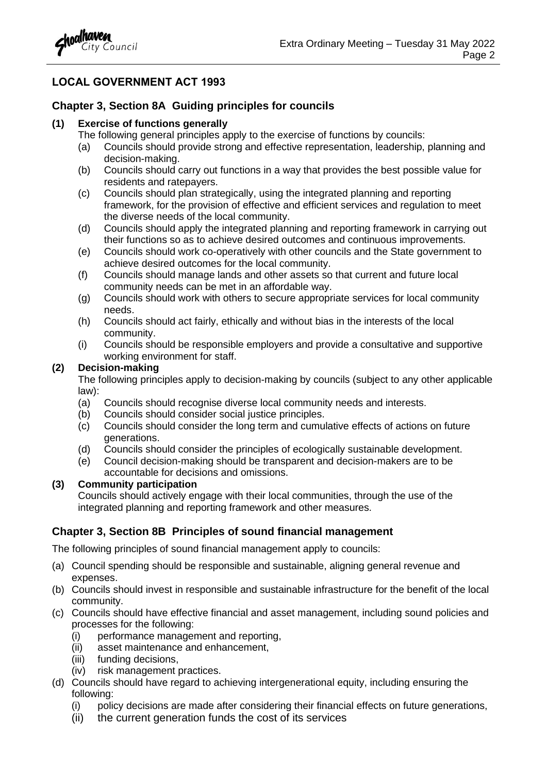

## **LOCAL GOVERNMENT ACT 1993**

## **Chapter 3, Section 8A Guiding principles for councils**

#### **(1) Exercise of functions generally**

- The following general principles apply to the exercise of functions by councils:
- (a) Councils should provide strong and effective representation, leadership, planning and decision-making.
- (b) Councils should carry out functions in a way that provides the best possible value for residents and ratepayers.
- (c) Councils should plan strategically, using the integrated planning and reporting framework, for the provision of effective and efficient services and regulation to meet the diverse needs of the local community.
- (d) Councils should apply the integrated planning and reporting framework in carrying out their functions so as to achieve desired outcomes and continuous improvements.
- (e) Councils should work co-operatively with other councils and the State government to achieve desired outcomes for the local community.
- (f) Councils should manage lands and other assets so that current and future local community needs can be met in an affordable way.
- (g) Councils should work with others to secure appropriate services for local community needs.
- (h) Councils should act fairly, ethically and without bias in the interests of the local community.
- (i) Councils should be responsible employers and provide a consultative and supportive working environment for staff.

### **(2) Decision-making**

The following principles apply to decision-making by councils (subject to any other applicable law):

- (a) Councils should recognise diverse local community needs and interests.
- (b) Councils should consider social justice principles.
- (c) Councils should consider the long term and cumulative effects of actions on future generations.
- (d) Councils should consider the principles of ecologically sustainable development.
- (e) Council decision-making should be transparent and decision-makers are to be accountable for decisions and omissions.

## **(3) Community participation**

Councils should actively engage with their local communities, through the use of the integrated planning and reporting framework and other measures.

## **Chapter 3, Section 8B Principles of sound financial management**

The following principles of sound financial management apply to councils:

- (a) Council spending should be responsible and sustainable, aligning general revenue and expenses.
- (b) Councils should invest in responsible and sustainable infrastructure for the benefit of the local community.
- (c) Councils should have effective financial and asset management, including sound policies and processes for the following:
	- (i) performance management and reporting,
	- (ii) asset maintenance and enhancement,
	- (iii) funding decisions,
	- (iv) risk management practices.
- (d) Councils should have regard to achieving intergenerational equity, including ensuring the following:
	- (i) policy decisions are made after considering their financial effects on future generations,
	- (ii) the current generation funds the cost of its services